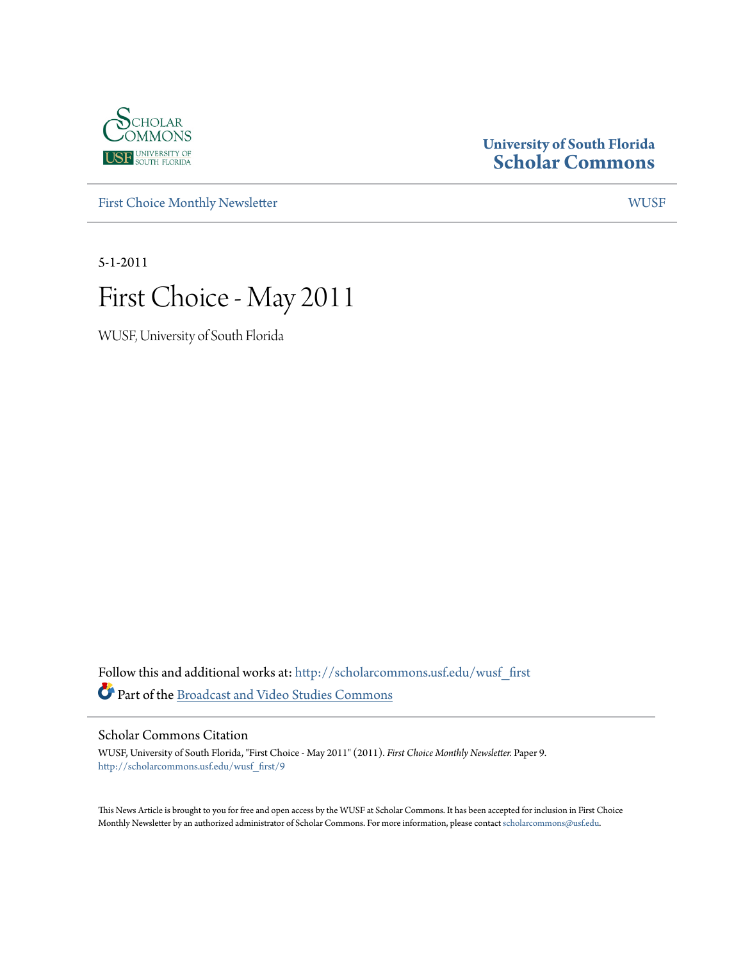

### **University of South Florida [Scholar Commons](http://scholarcommons.usf.edu?utm_source=scholarcommons.usf.edu%2Fwusf_first%2F9&utm_medium=PDF&utm_campaign=PDFCoverPages)**

[First Choice Monthly Newsletter](http://scholarcommons.usf.edu/wusf_first?utm_source=scholarcommons.usf.edu%2Fwusf_first%2F9&utm_medium=PDF&utm_campaign=PDFCoverPages) [WUSF](http://scholarcommons.usf.edu/wusf?utm_source=scholarcommons.usf.edu%2Fwusf_first%2F9&utm_medium=PDF&utm_campaign=PDFCoverPages)

5-1-2011

# First Choice - May 2011

WUSF, University of South Florida

Follow this and additional works at: [http://scholarcommons.usf.edu/wusf\\_first](http://scholarcommons.usf.edu/wusf_first?utm_source=scholarcommons.usf.edu%2Fwusf_first%2F9&utm_medium=PDF&utm_campaign=PDFCoverPages) Part of the [Broadcast and Video Studies Commons](http://network.bepress.com/hgg/discipline/326?utm_source=scholarcommons.usf.edu%2Fwusf_first%2F9&utm_medium=PDF&utm_campaign=PDFCoverPages)

Scholar Commons Citation

WUSF, University of South Florida, "First Choice - May 2011" (2011). *First Choice Monthly Newsletter.* Paper 9. [http://scholarcommons.usf.edu/wusf\\_first/9](http://scholarcommons.usf.edu/wusf_first/9?utm_source=scholarcommons.usf.edu%2Fwusf_first%2F9&utm_medium=PDF&utm_campaign=PDFCoverPages)

This News Article is brought to you for free and open access by the WUSF at Scholar Commons. It has been accepted for inclusion in First Choice Monthly Newsletter by an authorized administrator of Scholar Commons. For more information, please contact [scholarcommons@usf.edu.](mailto:scholarcommons@usf.edu)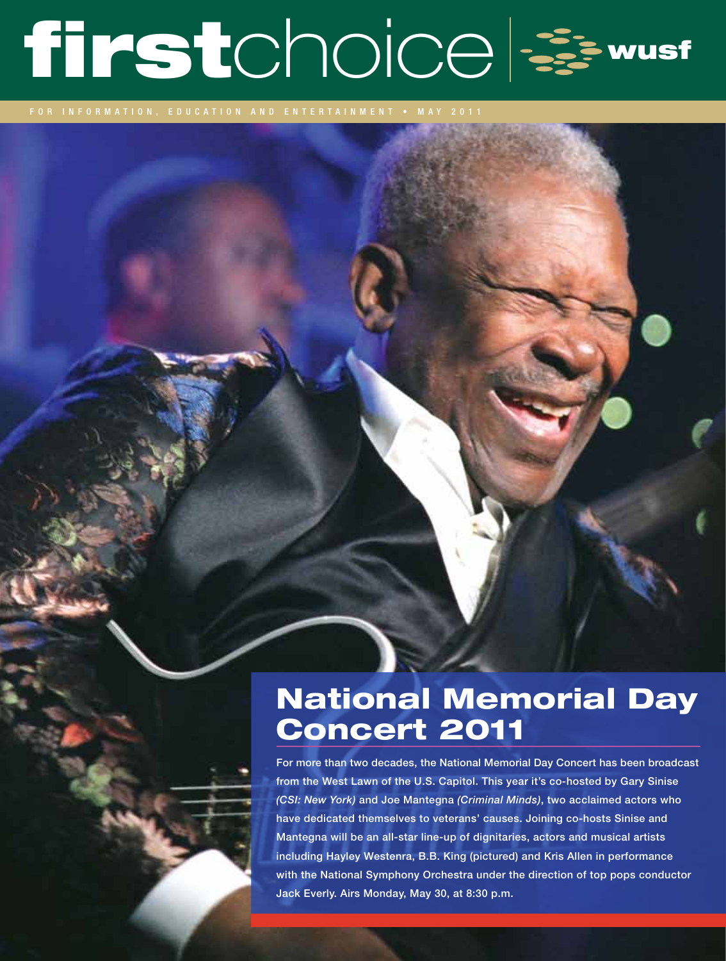# firstchoice &

# National Memorial Day Concert 2011

For more than two decades, the National Memorial Day Concert has been broadcast from the West Lawn of the U.S. Capitol. This year it's co-hosted by Gary Sinise *(CSI: New York)* and Joe Mantegna *(Criminal Minds)*, two acclaimed actors who have dedicated themselves to veterans' causes. Joining co-hosts Sinise and Mantegna will be an all-star line-up of dignitaries, actors and musical artists including Hayley Westenra, B.B. King (pictured) and Kris Allen in performance with the National Symphony Orchestra under the direction of top pops conductor Jack Everly. Airs Monday, May 30, at 8:30 p.m.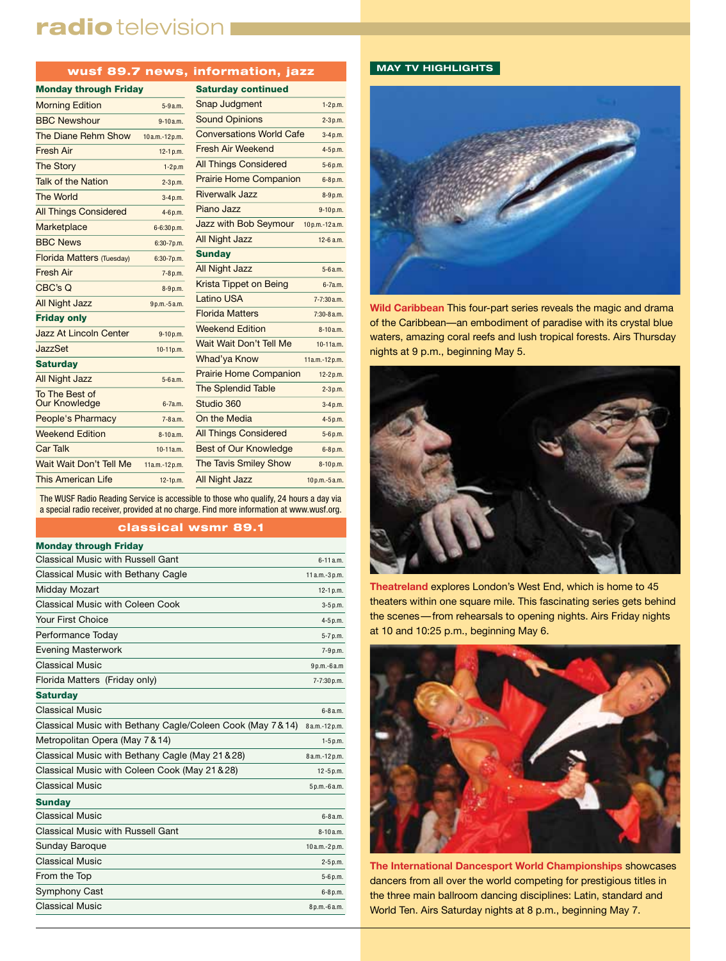## radio television I

#### wusf 89.7 news, information, jazz

| <b>Monday through Friday</b>     |                | <b>Saturday co</b>    |
|----------------------------------|----------------|-----------------------|
| <b>Morning Edition</b>           | $5 - 9a.m.$    | Snap Judgm            |
| <b>BBC Newshour</b>              | $9 - 10a.m.$   | <b>Sound Opinio</b>   |
| The Diane Rehm Show              | 10a.m.-12p.m.  | Conversation          |
| <b>Fresh Air</b>                 | $12-1 p.m.$    | Fresh Air We          |
| <b>The Storv</b>                 | $1-2p.m$       | All Things Co         |
| Talk of the Nation               | $2 - 3 p.m.$   | <b>Prairie Home</b>   |
| <b>The World</b>                 | $3-4 p.m.$     | Riverwalk Ja:         |
| <b>All Things Considered</b>     | 4-6 p.m.       | Piano Jazz            |
| Marketplace                      | 6-6:30 p.m.    | Jazz with Bo          |
| <b>BBC News</b>                  | $6:30 - 7p.m.$ | All Night Jazz        |
| <b>Florida Matters (Tuesday)</b> | $6:30 - 7p.m.$ | <b>Sunday</b>         |
| <b>Fresh Air</b>                 | 7-8 p.m.       | <b>All Night Jazz</b> |
| CBC's Q                          | 8-9 p.m.       | <b>Krista Tippet</b>  |
| <b>All Night Jazz</b>            | 9p.m.-5a.m.    | Latino USA            |
| <b>Friday only</b>               |                | <b>Florida Matte</b>  |
| <b>Jazz At Lincoln Center</b>    | 9-10p.m.       | <b>Weekend Edi</b>    |
| JazzSet                          | 10-11p.m.      | <b>Wait Wait Do</b>   |
| <b>Saturday</b>                  |                | Whad'ya Kno           |
| <b>All Night Jazz</b>            | 5-6 a.m.       | <b>Prairie Home</b>   |
| To The Best of                   |                | <b>The Splendic</b>   |
| <b>Our Knowledge</b>             | $6 - 7a.m.$    | Studio 360            |
| People's Pharmacy                | $7 - 8a.m.$    | On the Media          |
| <b>Weekend Edition</b>           | $8 - 10a.m.$   | All Things Co         |
| <b>Car Talk</b>                  | 10-11a.m.      | Best of Our <b>h</b>  |
| Wait Wait Don't Tell Me          | 11a.m.-12p.m.  | The Tavis Sm          |
| <b>This American Life</b>        | $12-1p.m.$     | All Night Jazz        |

| <b>Saturday continued</b>       |                |
|---------------------------------|----------------|
| <b>Snap Judgment</b>            | $1-2p.m.$      |
| <b>Sound Opinions</b>           | $2-3p.m.$      |
| <b>Conversations World Cafe</b> | 3-4p.m.        |
| Fresh Air Weekend               | 4-5p.m.        |
| <b>All Things Considered</b>    | 5-6p.m.        |
| <b>Prairie Home Companion</b>   | 6-8p.m.        |
| <b>Riverwalk Jazz</b>           | 8-9p.m.        |
| Piano Jazz                      | 9-10p.m.       |
| Jazz with Bob Seymour           | 10p.m.-12a.m.  |
| <b>All Night Jazz</b>           | $12-6$ a.m.    |
| <b>Sunday</b>                   |                |
| <b>All Night Jazz</b>           | 5-6a.m.        |
| <b>Krista Tippet on Being</b>   | 6-7a.m.        |
| <b>Latino USA</b>               | $7 - 7:30a.m.$ |
| <b>Florida Matters</b>          | $7:30-8a.m.$   |
| <b>Weekend Edition</b>          | $8 - 10a.m.$   |
| Wait Wait Don't Tell Me         | 10-11a.m.      |
| Whad'ya Know                    | 11a.m.-12p.m.  |
| <b>Prairie Home Companion</b>   | 12-2p.m.       |
| <b>The Splendid Table</b>       | $2-3p.m.$      |
| Studio 360                      | 3-4p.m.        |
| On the Media                    | 4-5p.m.        |
| <b>All Things Considered</b>    | 5-6p.m.        |
| <b>Best of Our Knowledge</b>    | 6-8p.m.        |
| <b>The Tavis Smiley Show</b>    | 8-10p.m.       |
|                                 |                |

 $10$  p.m.-5 a.m.

The WUSF Radio Reading Service is accessible to those who qualify, 24 hours a day via a special radio receiver, provided at no charge. Find more information at www.wusf.org.

#### classical wsmr 89.1

| <b>Monday through Friday</b>                              |                |
|-----------------------------------------------------------|----------------|
| Classical Music with Russell Gant                         | $6 - 11a.m.$   |
| Classical Music with Bethany Cagle                        | 11 a.m.-3 p.m. |
| Midday Mozart                                             | $12-1 p.m.$    |
| Classical Music with Coleen Cook                          | 3-5 p.m.       |
| Your First Choice                                         | 4-5 p.m.       |
| Performance Today                                         | 5-7 p.m.       |
| <b>Evening Masterwork</b>                                 | 7-9 p.m.       |
| <b>Classical Music</b>                                    | 9p.m.-6a.m     |
| Florida Matters (Friday only)                             | 7-7:30 p.m.    |
| <b>Saturday</b>                                           |                |
| <b>Classical Music</b>                                    | $6 - 8a.m.$    |
| Classical Music with Bethany Cagle/Coleen Cook (May 7&14) | 8 a.m.-12 p.m. |
| Metropolitan Opera (May 7 & 14)                           | $1-5 p.m.$     |
| Classical Music with Bethany Cagle (May 21 & 28)          | 8 a.m.-12 p.m. |
| Classical Music with Coleen Cook (May 21 & 28)            | $12 - 5 p.m.$  |
| Classical Music                                           | 5 p.m.-6 a.m.  |
| <b>Sunday</b>                                             |                |
| Classical Music                                           | $6 - 8$ a.m.   |
| Classical Music with Russell Gant                         | $8-10a.m.$     |
| Sunday Baroque                                            | 10a.m.-2p.m.   |
| <b>Classical Music</b>                                    | 2-5 p.m.       |
| From the Top                                              | 5-6 p.m.       |
| Symphony Cast                                             | 6-8 p.m.       |
| <b>Classical Music</b>                                    | 8 p.m.-6 a.m.  |
|                                                           |                |

#### **MAY TV HIGHLIGHTS**



**Wild Caribbean** This four-part series reveals the magic and drama of the Caribbean—an embodiment of paradise with its crystal blue waters, amazing coral reefs and lush tropical forests. Airs Thursday nights at 9 p.m., beginning May 5.



**Theatreland** explores London's West End, which is home to 45 theaters within one square mile. This fascinating series gets behind the scenes—from rehearsals to opening nights. Airs Friday nights at 10 and 10:25 p.m., beginning May 6.



**The International Dancesport World Championships** showcases dancers from all over the world competing for prestigious titles in the three main ballroom dancing disciplines: Latin, standard and World Ten. Airs Saturday nights at 8 p.m., beginning May 7.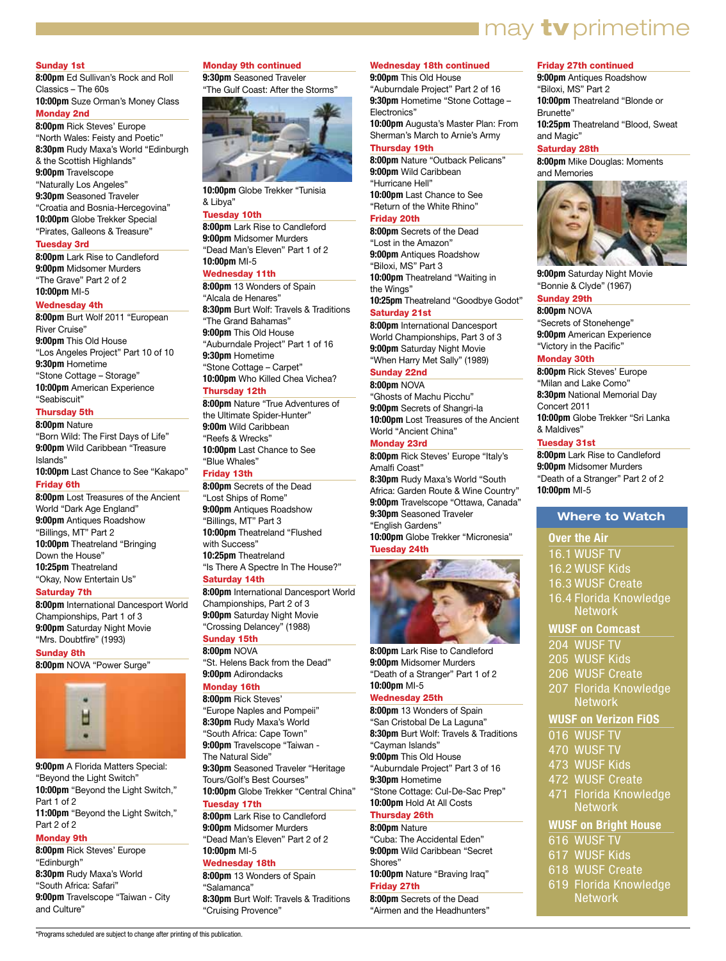## **I** may **tv** primetime

#### Sunday 1st

**8:00pm** Ed Sullivan's Rock and Roll Classics – The 60s **10:00pm** Suze Orman's Money Class Monday 2nd

**8:00pm** Rick Steves' Europe "North Wales: Feisty and Poetic" **8:30pm** Rudy Maxa's World "Edinburgh & the Scottish Highlands" **9:00pm** Travelscope "Naturally Los Angeles" **9:30pm** Seasoned Traveler "Croatia and Bosnia-Hercegovina" **10:00pm** Globe Trekker Special "Pirates, Galleons & Treasure"

#### Tuesday 3rd

**8:00pm** Lark Rise to Candleford **9:00pm** Midsomer Murders "The Grave" Part 2 of 2 **10:00pm** MI-5

#### Wednesday 4th

**8:00pm** Burt Wolf 2011 "European River Cruise" **9:00pm** This Old House "Los Angeles Project" Part 10 of 10 **9:30pm** Hometime "Stone Cottage – Storage" **10:00pm** American Experience "Seabiscuit"

#### Thursday 5th

**8:00pm** Nature "Born Wild: The First Days of Life" **9:00pm** Wild Caribbean "Treasure Islands" **10:00pm** Last Chance to See "Kakapo" Friday 6th

**8:00pm** Lost Treasures of the Ancient World "Dark Age England" **9:00pm** Antiques Roadshow "Billings, MT" Part 2 **10:00pm** Theatreland "Bringing Down the House" **10:25pm** Theatreland "Okay, Now Entertain Us"

#### Saturday 7th

**8:00pm** International Dancesport World Championships, Part 1 of 3 **9:00pm** Saturday Night Movie "Mrs. Doubtfire" (1993)

#### Sunday 8th

**8:00pm** NOVA "Power Surge"



**9:00pm** A Florida Matters Special: "Beyond the Light Switch" **10:00pm** "Beyond the Light Switch," Part 1 of 2 **11:00pm** "Beyond the Light Switch," Part 2 of 2

#### Monday 9th

**8:00pm** Rick Steves' Europe "Edinburgh" **8:30pm** Rudy Maxa's World "South Africa: Safari" **9:00pm** Travelscope "Taiwan - City and Culture"

#### Monday 9th continued

**9:30pm** Seasoned Traveler "The Gulf Coast: After the Storms"



**10:00pm** Globe Trekker "Tunisia & Libya"

#### Tuesday 10th

**8:00pm** Lark Rise to Candleford **9:00pm** Midsomer Murders "Dead Man's Eleven" Part 1 of 2 **10:00pm** MI-5

#### Wednesday 11th

**8:00pm** 13 Wonders of Spain "Alcala de Henares" **8:30pm** Burt Wolf: Travels & Traditions "The Grand Bahamas" **9:00pm** This Old House "Auburndale Project" Part 1 of 16 **9:30pm** Hometime "Stone Cottage – Carpet" **10:00pm** Who Killed Chea Vichea?

#### Thursday 12th

**8:00pm** Nature "True Adventures of the Ultimate Spider-Hunter" **9:00m** Wild Caribbean "Reefs & Wrecks" **10:00pm** Last Chance to See "Blue Whales"

#### Friday 13th

**8:00pm** Secrets of the Dead "Lost Ships of Rome" **9:00pm** Antiques Roadshow "Billings, MT" Part 3 **10:00pm** Theatreland "Flushed with Success" **10:25pm** Theatreland "Is There A Spectre In The House?" Saturday 14th

**8:00pm** International Dancesport World Championships, Part 2 of 3 **9:00pm** Saturday Night Movie "Crossing Delancey" (1988)

#### Sunday 15th **8:00pm** NOVA

"St. Helens Back from the Dead" **9:00pm** Adirondacks

#### Monday 16th

**8:00pm** Rick Steves' "Europe Naples and Pompeii" **8:30pm** Rudy Maxa's World "South Africa: Cape Town" **9:00pm** Travelscope "Taiwan - The Natural Side" **9:30pm** Seasoned Traveler "Heritage Tours/Golf's Best Courses" **10:00pm** Globe Trekker "Central China" Tuesday 17th

#### **8:00pm** Lark Rise to Candleford **9:00pm** Midsomer Murders "Dead Man's Eleven" Part 2 of 2

**10:00pm** MI-5 Wednesday 18th **8:00pm** 13 Wonders of Spain

"Salamanca" **8:30pm** Burt Wolf: Travels & Traditions "Cruising Provence"

#### Wednesday 18th continued **9:00pm** This Old House

"Auburndale Project" Part 2 of 16 **9:30pm** Hometime "Stone Cottage – Electronics"

**10:00pm** Augusta's Master Plan: From Sherman's March to Arnie's Army

#### Thursday 19th

**8:00pm** Nature "Outback Pelicans" **9:00pm** Wild Caribbean "Hurricane Hell" **10:00pm** Last Chance to See "Return of the White Rhino"

#### Friday 20th

**8:00pm** Secrets of the Dead "Lost in the Amazon" **9:00pm** Antiques Roadshow "Biloxi, MS" Part 3 **10:00pm** Theatreland "Waiting in the Winas' **10:25pm** Theatreland "Goodbye Godot" Saturday 21st

**8:00pm** International Dancesport World Championships, Part 3 of 3 **9:00pm** Saturday Night Movie "When Harry Met Sally" (1989)

#### Sunday 22nd

**8:00pm** NOVA "Ghosts of Machu Picchu" **9:00pm** Secrets of Shangri-la **10:00pm** Lost Treasures of the Ancient World "Ancient China"

#### Monday 23rd

**8:00pm** Rick Steves' Europe "Italy's Amalfi Coast" **8:30pm** Rudy Maxa's World "South

Africa: Garden Route & Wine Country" **9:00pm** Travelscope "Ottawa, Canada" **9:30pm** Seasoned Traveler "English Gardens" **10:00pm** Globe Trekker "Micronesia" Tuesday 24th



**8:00pm** Lark Rise to Candleford **9:00pm** Midsomer Murders "Death of a Stranger" Part 1 of 2 **10:00pm** MI-5

#### Wednesday 25th

**8:00pm** 13 Wonders of Spain "San Cristobal De La Laguna" **8:30pm** Burt Wolf: Travels & Traditions "Cayman Islands" **9:00pm** This Old House "Auburndale Project" Part 3 of 16 **9:30pm** Hometime "Stone Cottage: Cul-De-Sac Prep" **10:00pm** Hold At All Costs Thursday 26th **8:00pm** Nature

"Cuba: The Accidental Eden" **9:00pm** Wild Caribbean "Secret Shores" **10:00pm** Nature "Braving Iraq"

Friday 27th **8:00pm** Secrets of the Dead

"Airmen and the Headhunters"

#### Friday 27th continued

**9:00pm** Antiques Roadshow "Biloxi, MS" Part 2 **10:00pm** Theatreland "Blonde or Brunette" **10:25pm** Theatreland "Blood, Sweat and Magic"

#### Saturday 28th

**8:00pm** Mike Douglas: Moments and Memories



**9:00pm** Saturday Night Movie "Bonnie & Clyde" (1967)

#### Sunday 29th **8:00pm** NOVA

"Secrets of Stonehenge" **9:00pm** American Experience "Victory in the Pacific"

#### Monday 30th

**8:00pm** Rick Steves' Europe "Milan and Lake Como" **8:30pm** National Memorial Day Concert 2011 **10:00pm** Globe Trekker "Sri Lanka & Maldives"

#### Tuesday 31st

**8:00pm** Lark Rise to Candleford **9:00pm** Midsomer Murders "Death of a Stranger" Part 2 of 2 **10:00pm** MI-5

#### **Where to Watch**

#### **Over the Air**

- 16.1 WUSF TV
- 16.2 WUSF Kids
- 16.3 WUSF Create
- 16.4 Florida Knowledge **Network**

#### **WUSF on Comcast**

- 204 WUSF TV
- 205 WUSF Kids
- 206 WUSF Create
- 207 Florida Knowledge
- **Network**

#### **WUSF on Verizon FiOS**

- 016 WUSF TV
- 470 WUSF TV
- 473 WUSF Kids
- 472 WUSF Create
- 471 Florida Knowledge Network

#### **WUSF on Bright House**

- 616 WUSF TV
- 617 WUSF Kids
- 618 WUSF Create
- 619 Florida Knowledge Network